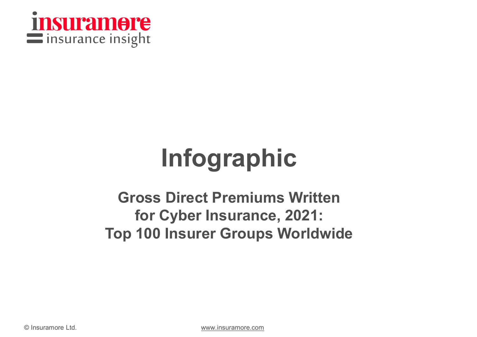

## Infographic

## **Gross Direct Premi<br>
for Cyber Insura<br>
Top 100 Insurer Grou<br>
© Insuramore Ltd.** Gross Direct Premiums Written for Cyber Insurance, 2021: Top 100 Insurer Groups Worldwide

www.insuramore.com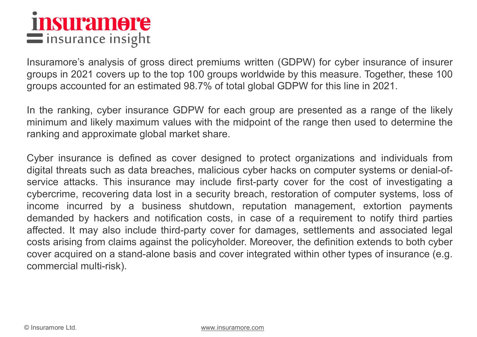INSUIT 2011 OF C<br>Insurance insight<br>Insuramore's analysis of gross direct premiums written (GDPW) for cyber insurance of insurer<br>groups in 2021 covers up to the top 100 groups worldwide by this measure. Together, these 100<br> in SUP and in surance insight<br>Insurance's analysis of gross direct premiums written (GDPW) for cyber insurance of insurer<br>groups in 2021 covers up to the top 100 groups worldwide by this measure. Together, these 100<br>groups **CONSERVABLEM STATES ACCOUNT AND STATES ACT ACCOUNT AND ACCOUNT AND SURVEY ARE:**<br>Insuramore's analysis of gross direct premiums written (GDPW) for cyber insurance of insurer<br>groups in 2021 covers up to the top 100 groups w IN SUIT 2011 OF CREAD IS in Surance insight<br>Insuramore's analysis of gross direct premiums written (GDPW) for cyber insurance of insurer<br>groups in 2021 covers up to the top 100 groups worldwide by this measure. Together, t **insurance in sight**<br>
Insurance insight<br>
Insurance's analysis of gross direct premiums written (GDPW) for cyber insurance of insurer<br>
groups in 2021 covers up to the top 100 groups worldwide by this measure. Together, thes **THISUIT 2008 THE EXECUTE:**<br>
Insurance insight<br>
Insurance is analysis of gross direct premiums written (GDPW) for cyber insura<br>
groups in 2021 covers up to the top 100 groups worldwide by this measure. Toget<br>
groups accoun

**EXECTS INSURGENT IS A CONSTREMOTE CONSTREMOTE CONSTRENT IS UNITED AS CONSTRENT IS UNITED AS CONSTRESS IN THE UNITED AS CONSTRESS IN THE VALUE OF THE VALUE OF THE VALUE OF THE VALUE OF THE VALUE OF THE VALUE OF THE VALUE O Example 12 Standard Standard Standard Standard Standard Standard Standard Standard Standard Standard Standard Standard Standard Standard Standard Standard Standard Standard Standard Standard Standard Standard Standard Sta INTREM ATT INSURANCE INTERT INTERT INTERT INTERT INTERT INTERT ISSUES THE INTERT ISSUES THE ISSUES THE ISSUES THE ISSUES INTERTATE: THE FART ISSUES IN THE FART ISSUES IN THE FART ISSUES IN THE FART ISSUES IN THE FART ISSU** Insuramore's analysis of gross direct premiums written (GDPW) for cyber insurance of insurer<br>groups in 2021 covers up to the top 100 groups worldwide by this measure. Together, these 100<br>groups accounted for an estimated 9 Insuramore's analysis of gross direct premiums written (GDPW) for cyber insurance of insurer<br>groups in 2021 covers up to the top 100 groups worldwide by this measure. Together, these 100<br>groups accounted for an estimated 9 groups in 2021 covers up to the top 100 groups worldwide by this measure. logether, these 100<br>groups accounted for an estimated 98.7% of total global GDPW for this line in 2021.<br>In the ranking, cyber insurance GDPW for eac groups accounted for an estimated 98.7% of total global GDPW for this line in 2021.<br>
In the ranking, cyber insurance GDPW for each group are presented as a range of the likely<br>
minimum and likely maximum values with the mi In the ranking, cyber insurance GDPW for each group are presented as a range of the likely minimum and likely maximum values with the midpoint of the range then used to determine the ranking and approximate global market s In the ranking, cyber insurance GDPW for each group are presented as a range of the likely<br>minimum and likely maximum values with the midpoint of the range then used to determine the<br>ranking and approximate global market s minimum and likely maximum values with the midpoir<br>ranking and approximate global market share.<br>Cyber insurance is defined as cover designed to p<br>digital threats such as data breaches, malicious cyber<br>service attacks. This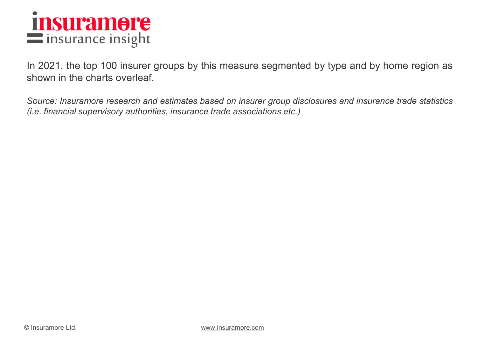

INSUPE<br>In surance insight<br>In 2021, the top 100 insurer groups by this measure segmented by type and by home region as<br>Source: Insuramore research and estimates based on insurer group disclosures and insurance trade statist **insurance insight**<br>
insurance insight<br>
In 2021, the top 100 insurer groups by this measure segment<br>
shown in the charts overleaf.<br>
Source: Insuramore research and estimates based on insurer group dis<br>
(i.e. financial supe **Source:** Insurance insight<br>In 2021, the top 100 insurer groups by this measure segmented by type and by home region as<br>shown in the charts overleaf.<br>Source: Insuramore research and estimates based on insurer group disclos **insurance insight**<br>
In 2021, the top 100 insurer groups by this measure segmented by type and by home region as<br>
shown in the charts overleaf.<br>
Source: Insurance research and estimates based on insurer group disclosures a